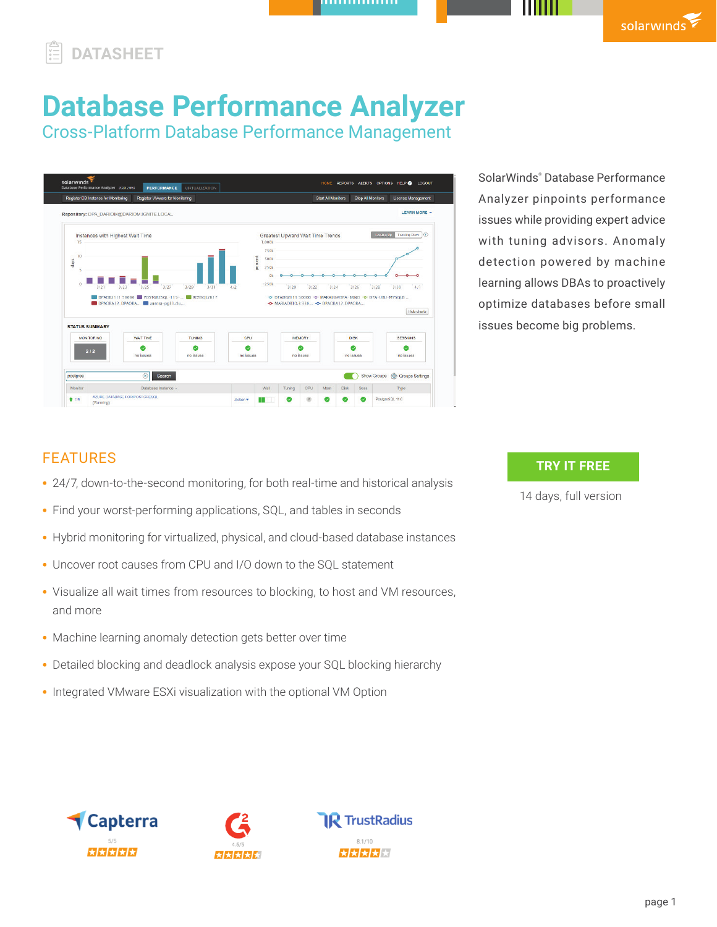# **DATASHEET**

# **Database Performance Analyzer**

Cross-Platform Database Performance Management

| Register DB Instance for Monitoring        | Register VMware for Monitoring               |               |            |                        |                                         |               | <b>Start All Monitors</b> |             | <b>Stop All Monitors</b> | License Management                                         |             |
|--------------------------------------------|----------------------------------------------|---------------|------------|------------------------|-----------------------------------------|---------------|---------------------------|-------------|--------------------------|------------------------------------------------------------|-------------|
| Repository: DPA_DARIOM@DARIOM.IGNITE.LOCAL |                                              |               |            |                        |                                         |               |                           |             |                          | <b>LEARN MORE .</b>                                        |             |
| Instances with Highest Wait Time           |                                              |               |            |                        | Greatest Upward Wait Time Trends        |               |                           |             |                          | Transling Down (?)<br>Trending Up                          |             |
| 15                                         |                                              |               |            | 1,000k                 |                                         |               |                           |             |                          |                                                            |             |
| 10                                         |                                              |               |            | <b>750k</b>            |                                         |               |                           |             |                          |                                                            |             |
| days                                       |                                              |               |            | percent<br><b>500k</b> |                                         |               |                           |             |                          |                                                            |             |
|                                            |                                              |               |            | 250k                   |                                         |               |                           |             |                          |                                                            |             |
|                                            |                                              |               |            | O <sub>k</sub>         |                                         |               |                           |             |                          |                                                            |             |
|                                            |                                              |               |            |                        |                                         |               |                           |             |                          |                                                            |             |
| $\alpha$<br>3/23<br>3/21                   | 3/25<br>3/27                                 | 3/29<br>3/31  | 4/2        | $-250k$                | 3/20                                    | 3/22          | 3/24                      |             | 3/26                     | 3/28<br>3/30                                               | 4/1         |
|                                            | DPAD82111:50000 D POSTGRESQL-115- RDSSQL2K17 |               |            |                        |                                         |               |                           |             |                          | -0- DPADB2111 50000 -0- MAKALU@DPA-BRNO -0- DPA-UBU-MYSQL8 |             |
|                                            | DPAORA12_DPAORA aurora-pg11.clu              |               |            |                        | -C-MARIADB10.3 330 -C- DPAORA12. DPAORA |               |                           |             |                          |                                                            |             |
|                                            |                                              |               |            |                        |                                         |               |                           |             |                          |                                                            | Hide charts |
| <b>STATUS SUMMARY</b>                      |                                              |               |            |                        |                                         |               |                           |             |                          |                                                            |             |
| <b>MONITORING</b>                          | WALT TIME                                    | <b>TUNING</b> | CPU        |                        |                                         | <b>MEMORY</b> |                           | <b>DISK</b> |                          | <b>SESSIONS</b>                                            |             |
|                                            |                                              |               |            |                        |                                         |               |                           |             |                          |                                                            |             |
| 2/2                                        | no issues                                    | no issues     | no issues. |                        |                                         | no issues     |                           | no issues   |                          | no issues                                                  |             |
|                                            |                                              |               |            |                        |                                         |               |                           |             |                          |                                                            |             |
| postgres                                   | $\circledR$<br>Search                        |               |            |                        |                                         |               |                           |             |                          | <b>Solution</b> Settings<br>Show Groups                    |             |

SolarWinds® Database Performance Analyzer pinpoints performance issues while providing expert advice with tuning advisors. Anomaly detection powered by machine learning allows DBAs to proactively optimize databases before small issues become big problems.

# FEATURES

- 24/7, down-to-the-second monitoring, for both real-time and historical analysis
- Find your worst-performing applications, SQL, and tables in seconds
- Hybrid monitoring for virtualized, physical, and cloud-based database instances
- Uncover root causes from CPU and I/O down to the SQL statement
- Visualize all wait times from resources to blocking, to host and VM resources, and more
- Machine learning anomaly detection gets better over time
- Detailed blocking and deadlock analysis expose your SQL blocking hierarchy
- Integrated VMware ESXi visualization with the optional VM Option

## **TRY IT FREE**

[14 days, full version](https://www.solarwinds.com/database-performance-analyzer/registrationCMP=LEC-DTST-SWI-SW_WW_X_PP_X_LD_EN_DPAGEN_SW-DPA-20200706_DATASHEET_X_X_VidNo_X-X)





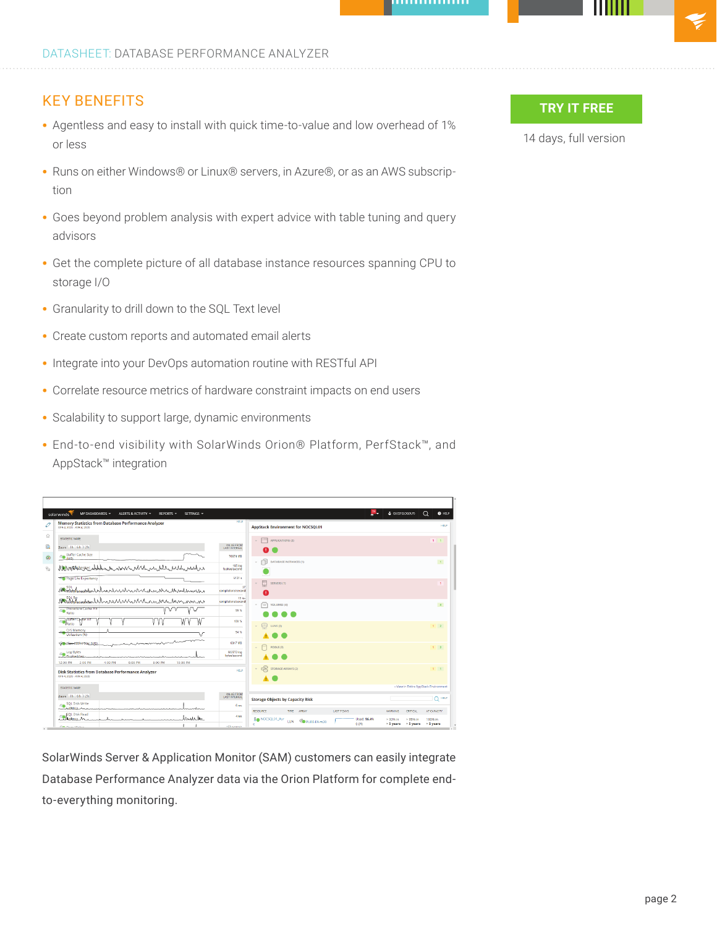#### KEY BENEFITS

- Agentless and easy to install with quick time-to-value and low overhead of 1% or less
- Runs on either Windows® or Linux® servers, in Azure®, or as an AWS subscription
- Goes beyond problem analysis with expert advice with table tuning and query advisors
- Get the complete picture of all database instance resources spanning CPU to storage I/O
- Granularity to drill down to the SQL Text level
- Create custom reports and automated email alerts
- Integrate into your DevOps automation routine with RESTful API
- Correlate resource metrics of hardware constraint impacts on end users
- Scalability to support large, dynamic environments
- End-to-end visibility with SolarWinds Orion® Platform, PerfStack™, and AppStack™ integration

| MY DASHBOARDS -<br>ALERTS & ACTIVITY -<br>REPORTS -<br>SETTINGS -<br>solarwinds                                                |                                                |                                                                                                                                  | $\Omega$<br>& GUEST (LOGOUT)<br><b>O</b> HELP                                                                               |
|--------------------------------------------------------------------------------------------------------------------------------|------------------------------------------------|----------------------------------------------------------------------------------------------------------------------------------|-----------------------------------------------------------------------------------------------------------------------------|
| Memory Statistics from Database Performance Analyzer<br>APR 4, 2020 - APR 4, 2020                                              | HPLP                                           | <b>AppStack Environment for NOCSQL01</b>                                                                                         | HELP                                                                                                                        |
| STATISTIC NAME<br>Zoom Ih 6h 12h<br><b>Buffer Cache Size</b><br>$\bigcirc$ (MB)                                                | <b>VALUE FROM</b><br>LAST INTERVAL<br>70674 MB | APPLICATIONS (2)<br>Ш                                                                                                            | $1 - 1$                                                                                                                     |
| <b>AMAYORMADESAES_whylklkwww.www.wwww.wlWukw.www.wukuwwwww.</b> ww<br>Page Life Expectancy                                     | 185 log<br>flushes/second<br>6131 a            | <b>DATABASE INSTANCES (1)</b>                                                                                                    | $\mathbf{1}$                                                                                                                |
| Montgotal<br>alsalahan handa mangunduma<br>Ana the temporal deliver were well and monday with we                               | 37<br>completens/second<br>19 <sub>re</sub>    | <b>SERVERS (1)</b>                                                                                                               | т.                                                                                                                          |
| <b>Procedure Cache Hit</b><br>M<br>Ratio<br><b>Buffer Carpe Hit</b><br>GW.                                                     | completions/second<br>99%<br>100%              | <b>VOLUMES (4)</b>                                                                                                               | $\blacktriangle$                                                                                                            |
| Ratio<br>O/S Memory<br>Utilization (%)                                                                                         | 94%                                            | g<br><b>LUNS (3)</b>                                                                                                             | $1 \quad 2$                                                                                                                 |
| Com Plan Citier Stag (1/18)<br>Log Bytes<br>G.<br>Fluchad/car<br>12:00 PM 2:00 PM<br>4:00 PM<br>6:00 PM<br>8:00 PM<br>10:00 PM | 9317 MB<br>582772 log<br>bytes/second          | POOLS (3)                                                                                                                        | $1 \quad 2$                                                                                                                 |
| <b>Disk Statistics from Database Performance Analyzer</b><br>APR 4, 2020 - APR 4, 2020                                         | HELP                                           | $\approx$<br><b>STORAGE ARRAYS (2)</b>                                                                                           | $1 - 1$                                                                                                                     |
| STATISTIC NAME                                                                                                                 |                                                |                                                                                                                                  | » View in Entire AppStack Environment                                                                                       |
| Zoom 1h 6h 12h<br>SQL Disk Write<br>48<br>Concepts of the Columbus States<br>mannhora                                          | VALUE FROM<br>6 mm                             | <b>Storage Objects by Capacity Risk</b>                                                                                          | Q <sup>HELP</sup>                                                                                                           |
| <b>ISQL Disk Read</b><br>anderke<br>And Astroy                                                                                 | 4 <sub>ms</sub>                                | LAST 7 DAYS<br>RESOURCE<br>TYPE:<br>ARRAY<br><b>De</b> NOCSQL01_Pur<br>Used: 16.4%<br>PURE-FA-m20<br>LUN<br>0.0%<br>$\mathbf{r}$ | AT CAPACITY<br><b>WARNING</b><br><b>CRITICAL</b><br>$>90%$ in<br>> 95% in<br>100% in<br>> 5 years<br>> 5 years<br>> 5 years |
| <b>Can Prove MADE</b>                                                                                                          | 455 Annuals                                    |                                                                                                                                  |                                                                                                                             |

SolarWinds Server & Application Monitor (SAM) customers can easily integrate Database Performance Analyzer data via the Orion Platform for complete endto-everything monitoring.

### **TRY IT FREE**

[14 days, full version](https://www.solarwinds.com/database-performance-analyzer/registrationCMP=LEC-DTST-SWI-SW_WW_X_PP_X_LD_EN_DPAGEN_SW-DPA-20200706_DATASHEET_X_X_VidNo_X-X)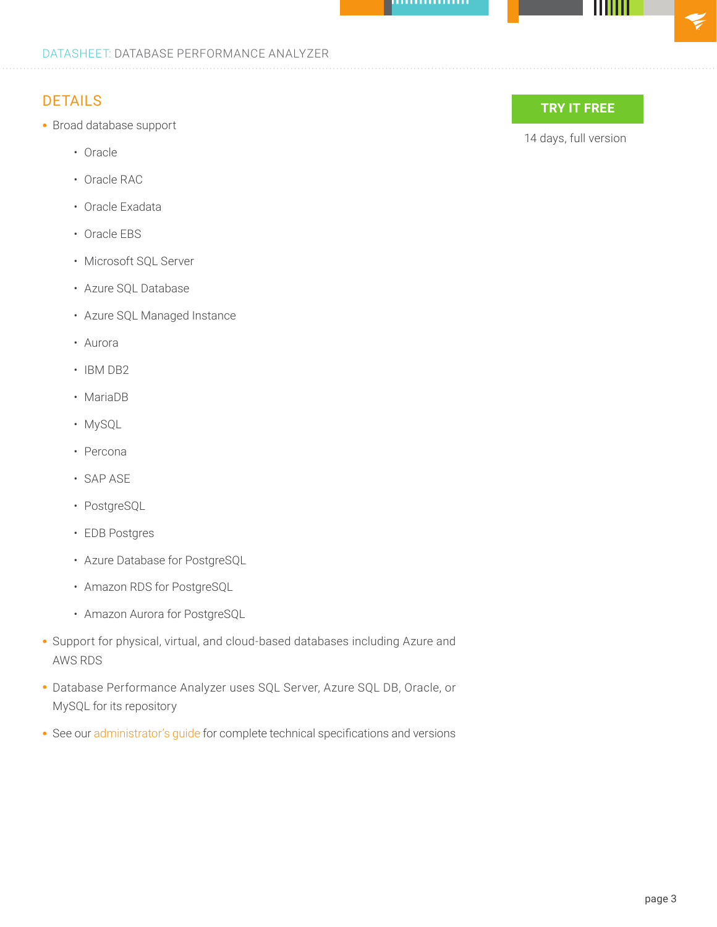#### DATASHEET: DATABASE PERFORMANCE ANALYZER

# DETAILS

- Broad database support
	- Oracle
	- Oracle RAC
	- Oracle Exadata
	- Oracle EBS
	- Microsoft SQL Server
	- Azure SQL Database
	- Azure SQL Managed Instance
	- Aurora
	- IBM DB2
	- MariaDB
	- MySQL
	- Percona
	- SAP ASE
	- PostgreSQL
	- EDB Postgres
	- Azure Database for PostgreSQL
	- Amazon RDS for PostgreSQL
	- Amazon Aurora for PostgreSQL
- Support for physical, virtual, and cloud-based databases including Azure and AWS RDS
- Database Performance Analyzer uses SQL Server, Azure SQL DB, Oracle, or MySQL for its repository
- See our [administrator's guide](https://documentation.solarwinds.com/en/success_center/dpa/Content/DPA_Administrator_Guide.htm) for complete technical specifications and versions



[14 days, full version](https://www.solarwinds.com/database-performance-analyzer/registrationCMP=LEC-DTST-SWI-SW_WW_X_PP_X_LD_EN_DPAGEN_SW-DPA-20200706_DATASHEET_X_X_VidNo_X-X)